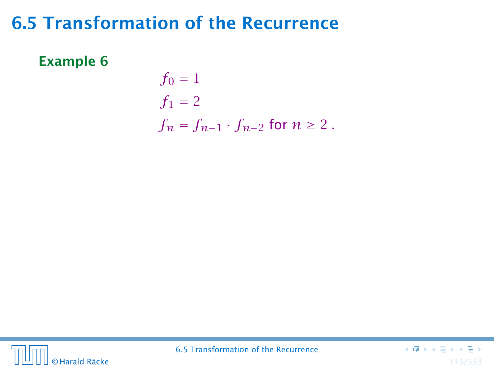#### Example 6

$$
f_0 = 1
$$
  
\n
$$
f_1 = 2
$$
  
\n
$$
f_n = f_{n-1} \cdot f_{n-2} \text{ for } n \ge 2.
$$



6.5 Transformation of the Recurrence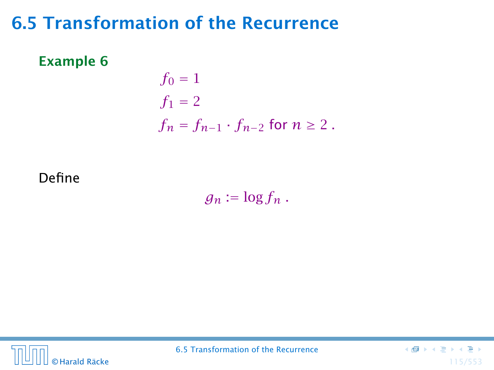#### Example 6

$$
f_0 = 1
$$
  
\n
$$
f_1 = 2
$$
  
\n
$$
f_n = f_{n-1} \cdot f_{n-2} \text{ for } n \ge 2.
$$

#### Define

 $g_n := \log f_n$ .



6.5 Transformation of the Recurrence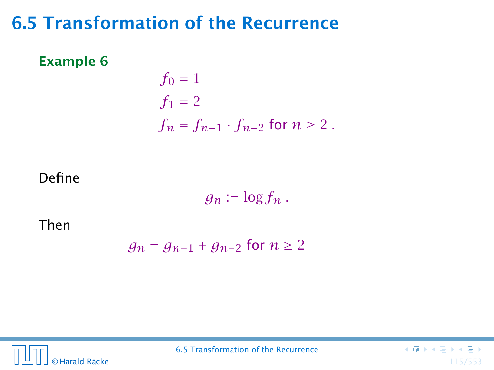#### Example 6

$$
f_0 = 1
$$
  
\n
$$
f_1 = 2
$$
  
\n
$$
f_n = f_{n-1} \cdot f_{n-2} \text{ for } n \ge 2.
$$

#### Define

 $g_n := \log f_n$ .

Then

$$
g_n = g_{n-1} + g_{n-2} \text{ for } n \ge 2
$$



6.5 Transformation of the Recurrence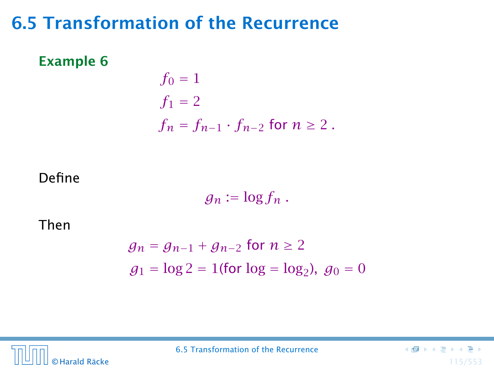#### Example 6

$$
f_0 = 1
$$
  
\n
$$
f_1 = 2
$$
  
\n
$$
f_n = f_{n-1} \cdot f_{n-2} \text{ for } n \ge 2.
$$

### Define

$$
g_n:=\log f_n.
$$

Then

$$
g_n = g_{n-1} + g_{n-2} \text{ for } n \ge 2
$$
  

$$
g_1 = \log 2 = 1 \text{(for } \log = \log_2\text{), } g_0 = 0
$$

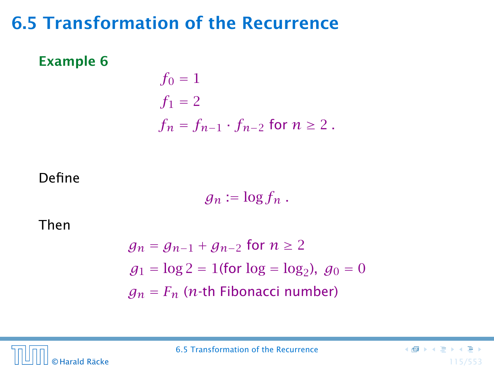#### Example 6

$$
f_0 = 1
$$
  
\n
$$
f_1 = 2
$$
  
\n
$$
f_n = f_{n-1} \cdot f_{n-2} \text{ for } n \ge 2.
$$

### Define

 $g_n := \log f_n$ .

Then

$$
g_n = g_{n-1} + g_{n-2} \text{ for } n \ge 2
$$
  
\n
$$
g_1 = \log 2 = 1 \text{(for } \log = \log_2\text{), } g_0 = 0
$$
  
\n
$$
g_n = F_n \text{ (n-th Fibonacci number)}
$$

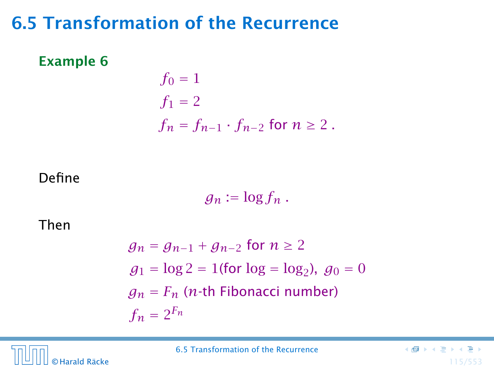#### Example 6

$$
f_0 = 1
$$
  
\n
$$
f_1 = 2
$$
  
\n
$$
f_n = f_{n-1} \cdot f_{n-2} \text{ for } n \ge 2.
$$

### Define

 $g_n := \log f_n$ .

Then

$$
g_n = g_{n-1} + g_{n-2} \text{ for } n \ge 2
$$
  
\n
$$
g_1 = \log 2 = 1 \text{(for } \log = \log_2\text{), } g_0 = 0
$$
  
\n
$$
g_n = F_n \text{ (n-th Fibonacci number)}
$$
  
\n
$$
f_n = 2^{F_n}
$$

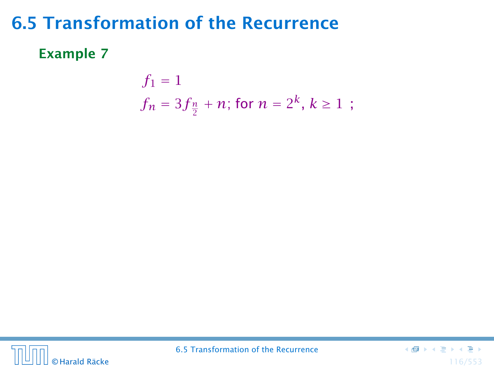### Example 7

$$
f_1 = 1
$$
  
 $f_n = 3f_{\frac{n}{2}} + n$ ; for  $n = 2^k, k \ge 1$ ;



6.5 Transformation of the Recurrence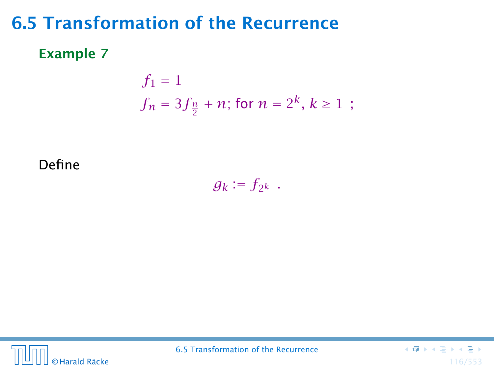### Example 7

$$
f_1 = 1
$$
  
 $f_n = 3f_{\frac{n}{2}} + n$ ; for  $n = 2^k, k \ge 1$ ;

Define

 $g_k := f_{2^k}$ .



6.5 Transformation of the Recurrence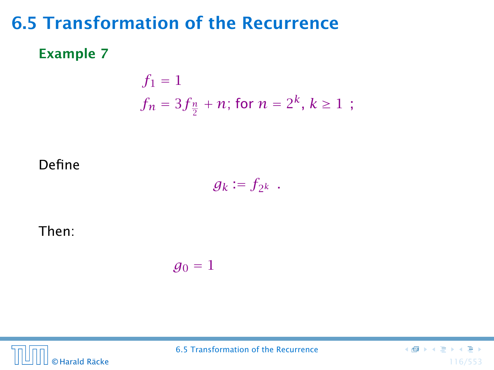### Example 7

$$
f_1 = 1
$$
  
 $f_n = 3f_{\frac{n}{2}} + n$ ; for  $n = 2^k, k \ge 1$ ;

#### Define

$$
g_k:=f_{2^k}.
$$

#### Then:

$$
g_0=1
$$



6.5 Transformation of the Recurrence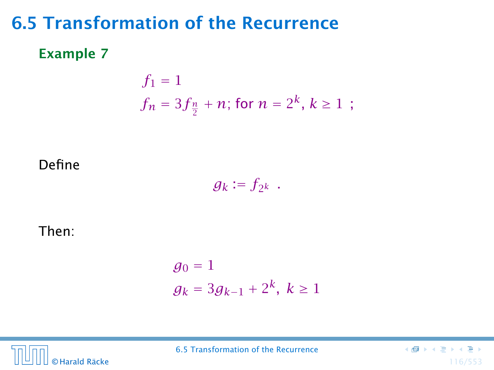### Example 7

$$
f_1 = 1
$$
  
 $f_n = 3f_{\frac{n}{2}} + n$ ; for  $n = 2^k, k \ge 1$ ;

Define

$$
g_k:=f_{2^k}.
$$

Then:

$$
g_0 = 1
$$
  

$$
g_k = 3g_{k-1} + 2^k, k \ge 1
$$



6.5 Transformation of the Recurrence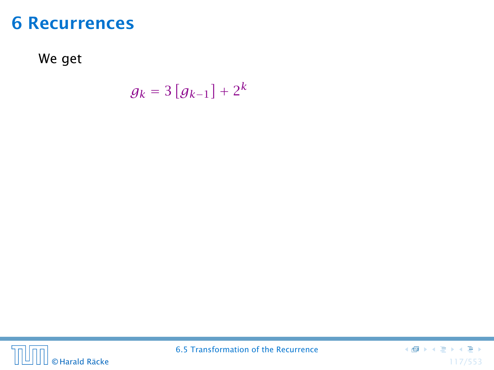We get

$$
g_k = 3\left[g_{k-1}\right] + 2^k
$$



6.5 Transformation of the Recurrence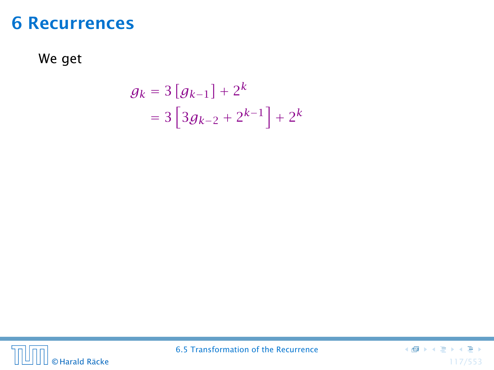We get

$$
g_k = 3 [g_{k-1}] + 2^k
$$
  
= 3 [3g\_{k-2} + 2^{k-1}] + 2^k



6.5 Transformation of the Recurrence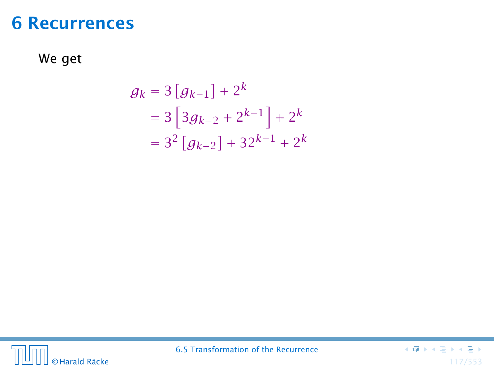We get

$$
g_k = 3 [g_{k-1}] + 2^k
$$
  
= 3 [3g\_{k-2} + 2^{k-1}] + 2^k  
= 3<sup>2</sup> [g\_{k-2}] + 32^{k-1} + 2^k



6.5 Transformation of the Recurrence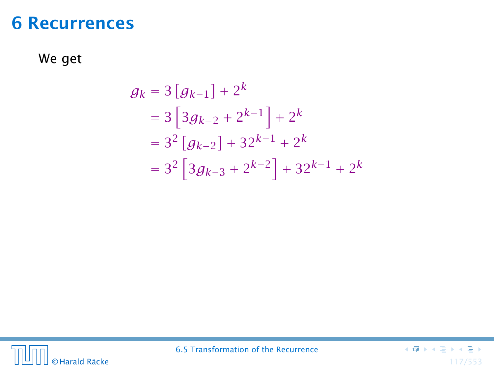We get

$$
g_k = 3 [g_{k-1}] + 2^k
$$
  
= 3 [3g\_{k-2} + 2^{k-1}] + 2^k  
= 3<sup>2</sup> [g\_{k-2}] + 32^{k-1} + 2^k  
= 3<sup>2</sup> [3g\_{k-3} + 2^{k-2}] + 32^{k-1} + 2^k



6.5 Transformation of the Recurrence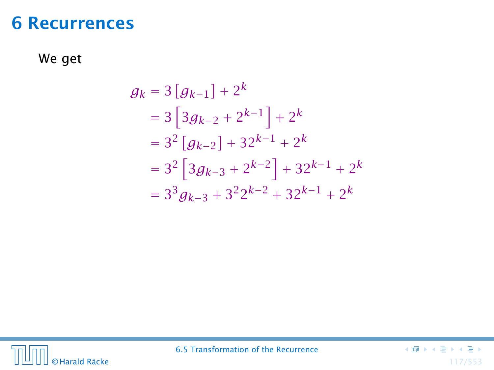We get

$$
g_k = 3 [g_{k-1}] + 2^k
$$
  
= 3 [3g\_{k-2} + 2^{k-1}] + 2^k  
= 3<sup>2</sup> [g\_{k-2}] + 32^{k-1} + 2^k  
= 3<sup>2</sup> [3g\_{k-3} + 2^{k-2}] + 32^{k-1} + 2^k  
= 3<sup>3</sup> g\_{k-3} + 3<sup>2</sup> 2<sup>k-2</sup> + 32<sup>k-1</sup> + 2<sup>k</sup>



6.5 Transformation of the Recurrence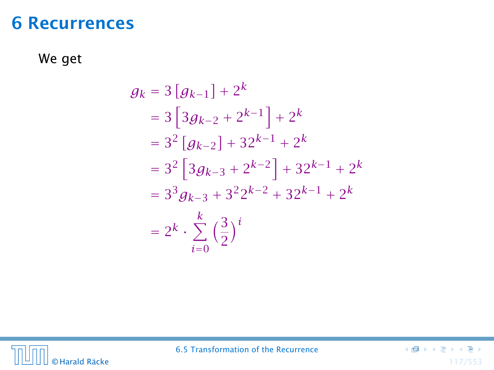We get

$$
g_k = 3 [g_{k-1}] + 2^k
$$
  
= 3 [3g\_{k-2} + 2^{k-1}] + 2^k  
= 3<sup>2</sup> [g\_{k-2}] + 32^{k-1} + 2^k  
= 3<sup>2</sup> [3g\_{k-3} + 2^{k-2}] + 32^{k-1} + 2^k  
= 3<sup>3</sup> g\_{k-3} + 3<sup>2</sup> 2<sup>k-2</sup> + 32<sup>k-1</sup> + 2<sup>k</sup>  
= 2<sup>k</sup> \cdot \sum\_{i=0}^{k} (\frac{3}{2})<sup>i</sup>



6.5 Transformation of the Recurrence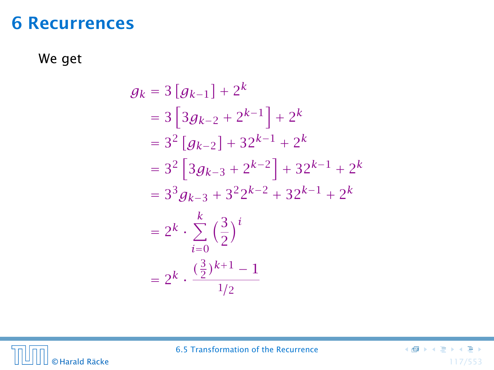We get

$$
g_k = 3 [g_{k-1}] + 2^k
$$
  
= 3 [3g\_{k-2} + 2^{k-1}] + 2^k  
= 3<sup>2</sup> [g\_{k-2}] + 32^{k-1} + 2^k  
= 3<sup>2</sup> [3g\_{k-3} + 2^{k-2}] + 32^{k-1} + 2^k  
= 3<sup>3</sup> g\_{k-3} + 3<sup>2</sup>2^{k-2} + 32^{k-1} + 2^k  
= 2<sup>k</sup> \cdot \sum\_{i=0}^{k} \left(\frac{3}{2}\right)^i  
= 2<sup>k</sup> \cdot \frac{\left(\frac{3}{2}\right)^{k+1} - 1}{1/2}



6.5 Transformation of the Recurrence

 $\begin{smallmatrix} \left(\frac{\pi}{2}\right) & \left(\frac{\pi}{2}\right) & \left(\frac{\pi}{2}\right) & \left(\frac{\pi}{2}\right) & \left(\frac{\pi}{2}\right) & \left(\frac{\pi}{2}\right) \end{smallmatrix}$ © Harald Räcke 117/553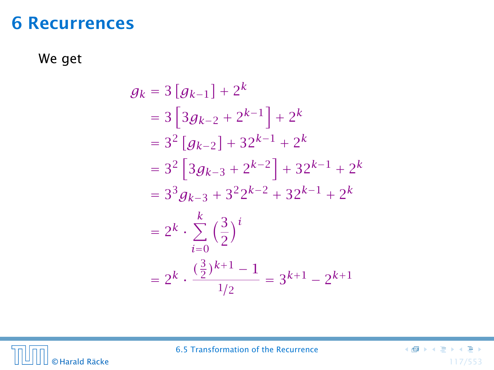We get

$$
g_k = 3 [g_{k-1}] + 2^k
$$
  
= 3 [3g\_{k-2} + 2^{k-1}] + 2^k  
= 3<sup>2</sup> [g\_{k-2}] + 32^{k-1} + 2^k  
= 3<sup>2</sup> [3g\_{k-3} + 2^{k-2}] + 32^{k-1} + 2^k  
= 3<sup>3</sup> g\_{k-3} + 3<sup>2</sup>2^{k-2} + 32^{k-1} + 2^k  
= 2<sup>k</sup> \cdot \sum\_{i=0}^{k} \left(\frac{3}{2}\right)^i  
= 2<sup>k</sup> \cdot \frac{\left(\frac{3}{2}\right)^{k+1} - 1}{1/2} = 3^{k+1} - 2^{k+1}



6.5 Transformation of the Recurrence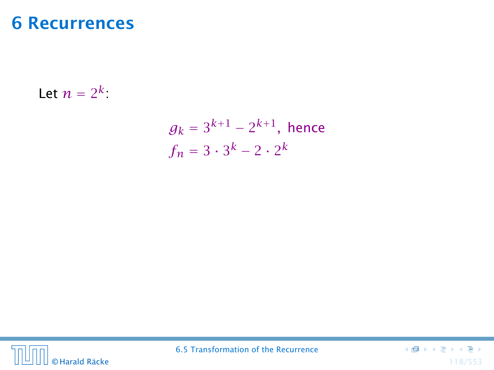Let  $n = 2^k$ :

$$
g_k = 3^{k+1} - 2^{k+1}
$$
, hence  
 $f_n = 3 \cdot 3^k - 2 \cdot 2^k$ 



6.5 Transformation of the Recurrence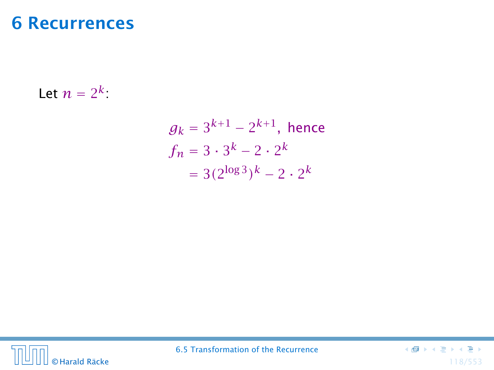Let  $n = 2^k$ :

$$
g_k = 3^{k+1} - 2^{k+1}
$$
, hence  
\n $f_n = 3 \cdot 3^k - 2 \cdot 2^k$   
\n $= 3(2^{\log 3})^k - 2 \cdot 2^k$ 



6.5 Transformation of the Recurrence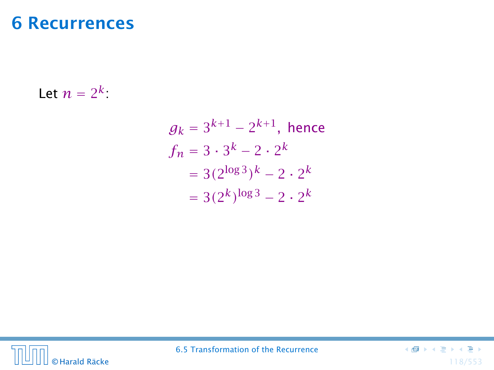Let  $n = 2^k$ :

$$
g_k = 3^{k+1} - 2^{k+1}
$$
, hence  
\n $f_n = 3 \cdot 3^k - 2 \cdot 2^k$   
\n $= 3(2^{\log 3})^k - 2 \cdot 2^k$   
\n $= 3(2^k)^{\log 3} - 2 \cdot 2^k$ 



6.5 Transformation of the Recurrence